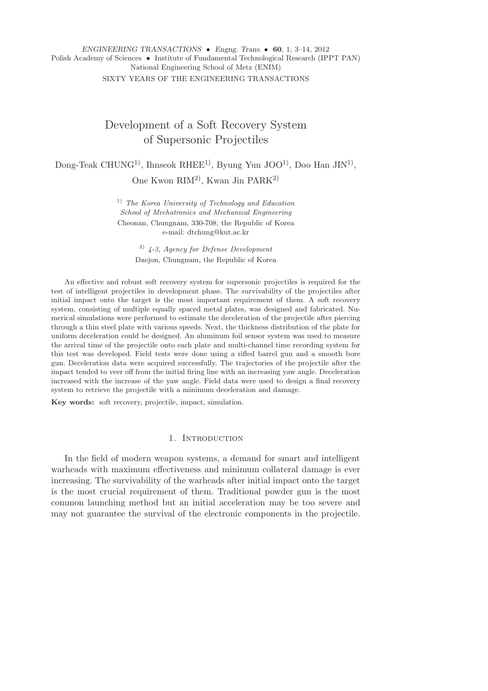# *ENGINEERING TRANSACTIONS* • *Engng. Trans.* • **60**, 1, 3–14, 2012 Polish Academy of Sciences • Institute of Fundamental Technological Research (IPPT PAN) National Engineering School of Metz (ENIM) SIXTY YEARS OF THE ENGINEERING TRANSACTIONS

# Development of a Soft Recovery System of Supersonic Projectiles

Dong-Teak CHUNG<sup>1)</sup>, Ihnseok RHEE<sup>1)</sup>, Byung Yun JOO<sup>1)</sup>, Doo Han JIN<sup>1)</sup>,

One Kwon RIM2), Kwan Jin PARK2)

1) *The Korea University of Technology and Education School of Mechatronics and Mechanical Engineering* Cheonan, Chungnam, 330-708, the Republic of Korea e-mail: dtchung@kut.ac.kr

> 2) *4-3, Agency for Defense Development* Daejon, Chungnam, the Republic of Korea

An effective and robust soft recovery system for supersonic projectiles is required for the test of intelligent projectiles in development phase. The survivability of the projectiles after initial impact onto the target is the most important requirement of them. A soft recovery system, consisting of multiple equally spaced metal plates, was designed and fabricated. Numerical simulations were performed to estimate the deceleration of the projectile after piercing through a thin steel plate with various speeds. Next, the thickness distribution of the plate for uniform deceleration could be designed. An aluminum foil sensor system was used to measure the arrival time of the projectile onto each plate and multi-channel time recording system for this test was developed. Field tests were done using a rifled barrel gun and a smooth bore gun. Deceleration data were acquired successfully. The trajectories of the projectile after the impact tended to veer off from the initial firing line with an increasing yaw angle. Deceleration increased with the increase of the yaw angle. Field data were used to design a final recovery system to retrieve the projectile with a minimum deceleration and damage.

**Key words:** soft recovery, projectile, impact, simulation.

# 1. Introduction

In the field of modern weapon systems, a demand for smart and intelligent warheads with maximum effectiveness and minimum collateral damage is ever increasing. The survivability of the warheads after initial impact onto the target is the most crucial requirement of them. Traditional powder gun is the most common launching method but an initial acceleration may be too severe and may not guarantee the survival of the electronic components in the projectile.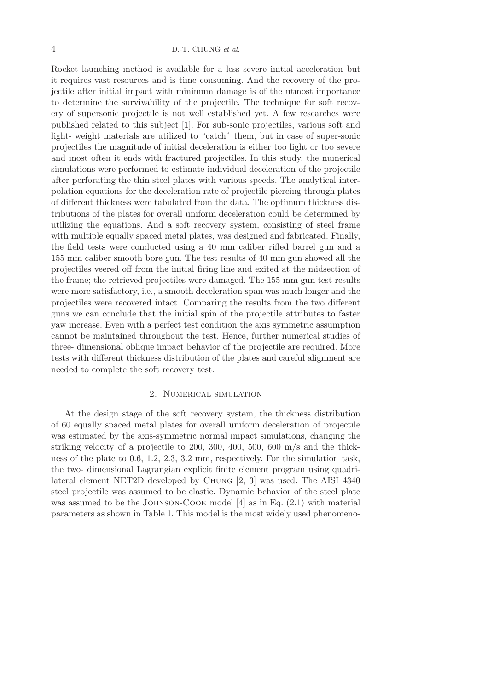## 4 D.-T. CHUNG *et al*.

Rocket launching method is available for a less severe initial acceleration but it requires vast resources and is time consuming. And the recovery of the projectile after initial impact with minimum damage is of the utmost importance to determine the survivability of the projectile. The technique for soft recovery of supersonic projectile is not well established yet. A few researches were published related to this subject [1]. For sub-sonic projectiles, various soft and light- weight materials are utilized to "catch" them, but in case of super-sonic projectiles the magnitude of initial deceleration is either too light or too severe and most often it ends with fractured projectiles. In this study, the numerical simulations were performed to estimate individual deceleration of the projectile after perforating the thin steel plates with various speeds. The analytical interpolation equations for the deceleration rate of projectile piercing through plates of different thickness were tabulated from the data. The optimum thickness distributions of the plates for overall uniform deceleration could be determined by utilizing the equations. And a soft recovery system, consisting of steel frame with multiple equally spaced metal plates, was designed and fabricated. Finally, the field tests were conducted using a 40 mm caliber rifled barrel gun and a 155 mm caliber smooth bore gun. The test results of 40 mm gun showed all the projectiles veered off from the initial firing line and exited at the midsection of the frame; the retrieved projectiles were damaged. The 155 mm gun test results were more satisfactory, i.e., a smooth deceleration span was much longer and the projectiles were recovered intact. Comparing the results from the two different guns we can conclude that the initial spin of the projectile attributes to faster yaw increase. Even with a perfect test condition the axis symmetric assumption cannot be maintained throughout the test. Hence, further numerical studies of three- dimensional oblique impact behavior of the projectile are required. More tests with different thickness distribution of the plates and careful alignment are needed to complete the soft recovery test.

## 2. Numerical simulation

At the design stage of the soft recovery system, the thickness distribution of 60 equally spaced metal plates for overall uniform deceleration of projectile was estimated by the axis-symmetric normal impact simulations, changing the striking velocity of a projectile to 200, 300, 400, 500, 600 m/s and the thickness of the plate to 0.6, 1.2, 2.3, 3.2 mm, respectively. For the simulation task, the two- dimensional Lagrangian explicit finite element program using quadrilateral element NET2D developed by Chung [2, 3] was used. The AISI 4340 steel projectile was assumed to be elastic. Dynamic behavior of the steel plate was assumed to be the JOHNSON-COOK model  $[4]$  as in Eq. (2.1) with material parameters as shown in Table 1. This model is the most widely used phenomeno-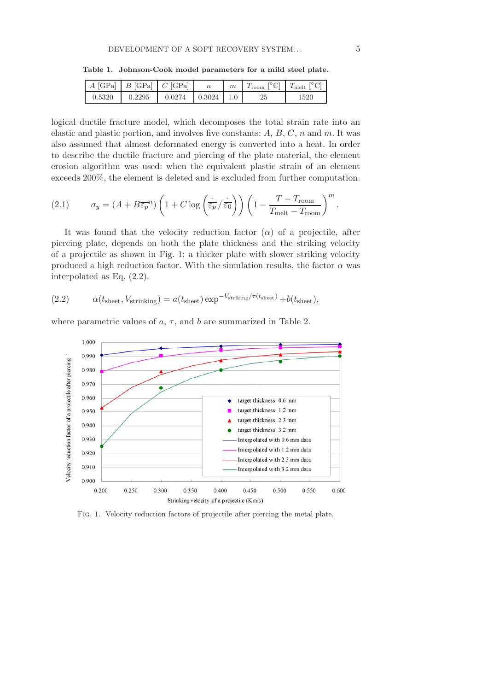|        | $A$ [GPa] $B$ [GPa] $C$ [GPa] |                           | m | $T_{\text{room}}$ $\vert \,^{\circ}\mathrm{C} \vert$ $T_{\text{melt}}$ $\vert \,^{\circ}\mathrm{C} \vert$ |      |
|--------|-------------------------------|---------------------------|---|-----------------------------------------------------------------------------------------------------------|------|
| 0.5320 | 0.2295                        | $0.0274$   $0.3024$   1.0 |   | 25                                                                                                        | 1520 |

**Table 1. Johnson-Cook model parameters for a mild steel plate.**

logical ductile fracture model, which decomposes the total strain rate into an elastic and plastic portion, and involves five constants:  $A, B, C, n$  and  $m$ . It was also assumed that almost deformated energy is converted into a heat. In order to describe the ductile fracture and piercing of the plate material, the element erosion algorithm was used: when the equivalent plastic strain of an element exceeds 200%, the element is deleted and is excluded from further computation.

(2.1) 
$$
\sigma_y = (A + B\overline{\varepsilon_p}^n) \left( 1 + C \log \left( \frac{\overline{\varepsilon_p}}{\varepsilon_p} / \overline{\varepsilon_0} \right) \right) \left( 1 - \frac{T - T_{\text{room}}}{T_{\text{melt}} - T_{\text{room}}} \right)^m
$$

It was found that the velocity reduction factor  $(\alpha)$  of a projectile, after piercing plate, depends on both the plate thickness and the striking velocity of a projectile as shown in Fig. 1; a thicker plate with slower striking velocity produced a high reduction factor. With the simulation results, the factor  $\alpha$  was interpolated as Eq. (2.2).

(2.2) 
$$
\alpha(t_{\text{sheet}}, V_{\text{string}}) = a(t_{\text{sheet}}) \exp^{-V_{\text{striking}}/\tau(t_{\text{sheet}})} + b(t_{\text{sheet}}),
$$

where parametric values of  $a, \tau$ , and  $b$  are summarized in Table 2.



Fig. 1. Velocity reduction factors of projectile after piercing the metal plate.

.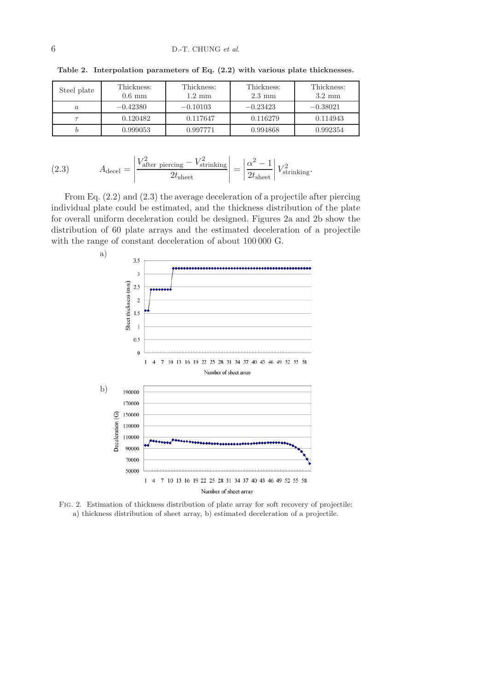| Steel plate | Thickness:<br>$0.6 \text{ mm}$ | Thickness:<br>$1.2 \text{ mm}$ | Thickness:<br>$2.3 \text{ mm}$ | Thickness:<br>$3.2 \text{ mm}$ |
|-------------|--------------------------------|--------------------------------|--------------------------------|--------------------------------|
|             | $-0.42380$                     | $-0.10103$                     | $-0.23423$                     | $-0.38021$                     |
|             | 0.120482                       | 0.117647                       | 0.116279                       | 0.114943                       |
|             | 0.999053                       | 0.997771                       | 0.994868                       | 0.992354                       |

**Table 2. Interpolation parameters of Eq. (2.2) with various plate thicknesses.**

(2.3) 
$$
A_{\text{decel}} = \left| \frac{V_{\text{after percing}}^2 - V_{\text{strinking}}^2}{2t_{\text{sheet}}} \right| = \left| \frac{\alpha^2 - 1}{2t_{\text{sheet}}} \right| V_{\text{strinking}}^2.
$$

From Eq.  $(2.2)$  and  $(2.3)$  the average deceleration of a projectile after piercing individual plate could be estimated, and the thickness distribution of the plate for overall uniform deceleration could be designed. Figures 2a and 2b show the distribution of 60 plate arrays and the estimated deceleration of a projectile with the range of constant deceleration of about 100 000 G.



Fig. 2. Estimation of thickness distribution of plate array for soft recovery of projectile: a) thickness distribution of sheet array, b) estimated deceleration of a projectile.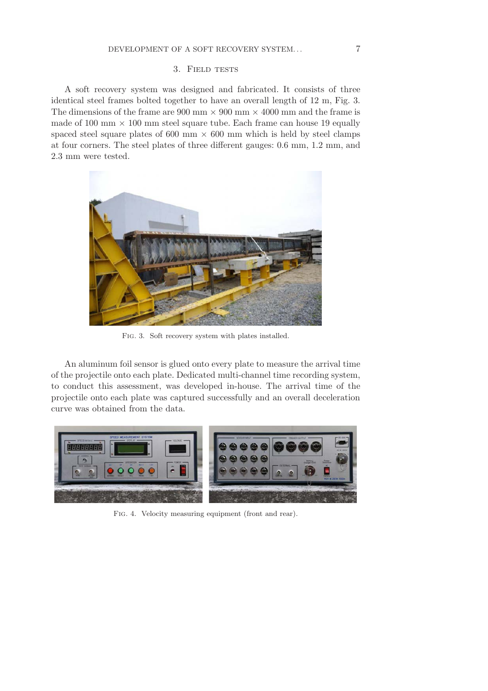# 3. Field tests

A soft recovery system was designed and fabricated. It consists of three identical steel frames bolted together to have an overall length of 12 m, Fig. 3. The dimensions of the frame are 900 mm  $\times$  900 mm  $\times$  4000 mm and the frame is made of 100 mm  $\times$  100 mm steel square tube. Each frame can house 19 equally spaced steel square plates of 600 mm  $\times$  600 mm which is held by steel clamps at four corners. The steel plates of three different gauges: 0.6 mm, 1.2 mm, and 2.3 mm were tested.



Fig. 3. Soft recovery system with plates installed.

An aluminum foil sensor is glued onto every plate to measure the arrival time of the projectile onto each plate. Dedicated multi-channel time recording system, to conduct this assessment, was developed in-house. The arrival time of the projectile onto each plate was captured successfully and an overall deceleration curve was obtained from the data.



Fig. 4. Velocity measuring equipment (front and rear).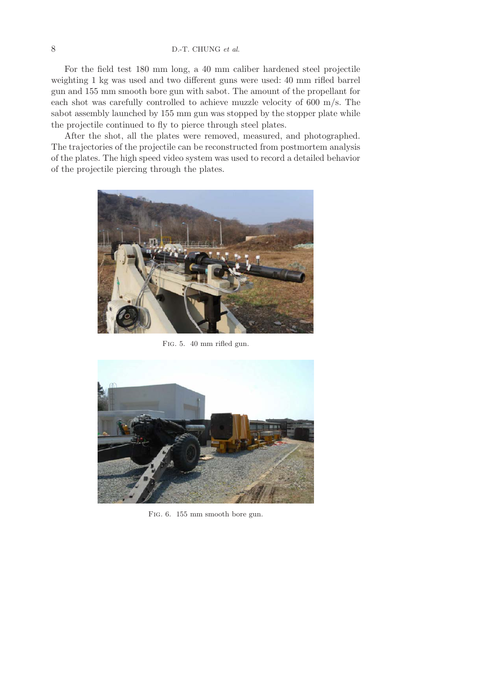# 8 D.-T. CHUNG *et al*.

For the field test 180 mm long, a 40 mm caliber hardened steel projectile weighting 1 kg was used and two different guns were used: 40 mm rifled barrel gun and 155 mm smooth bore gun with sabot. The amount of the propellant for each shot was carefully controlled to achieve muzzle velocity of 600 m/s. The sabot assembly launched by 155 mm gun was stopped by the stopper plate while the projectile continued to fly to pierce through steel plates.

After the shot, all the plates were removed, measured, and photographed. The trajectories of the projectile can be reconstructed from postmortem analysis of the plates. The high speed video system was used to record a detailed behavior of the projectile piercing through the plates.



Fig. 5. 40 mm rifled gun.



Fig. 6. 155 mm smooth bore gun.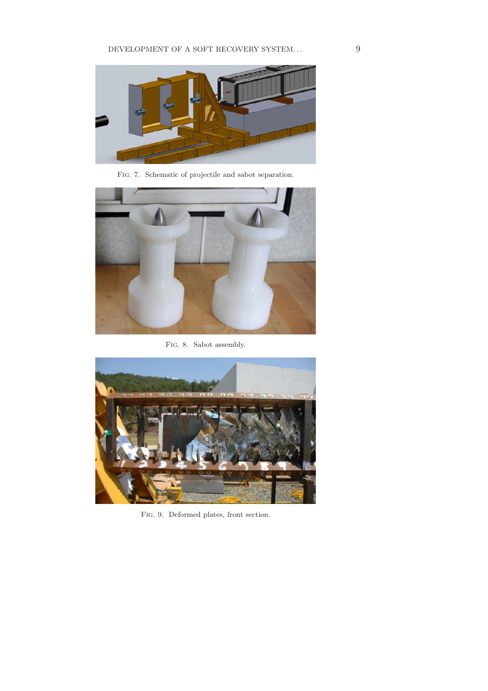

Fig. 7. Schematic of projectile and sabot separation.



FIG. 8. Sabot assembly.



Fig. 9. Deformed plates, front section.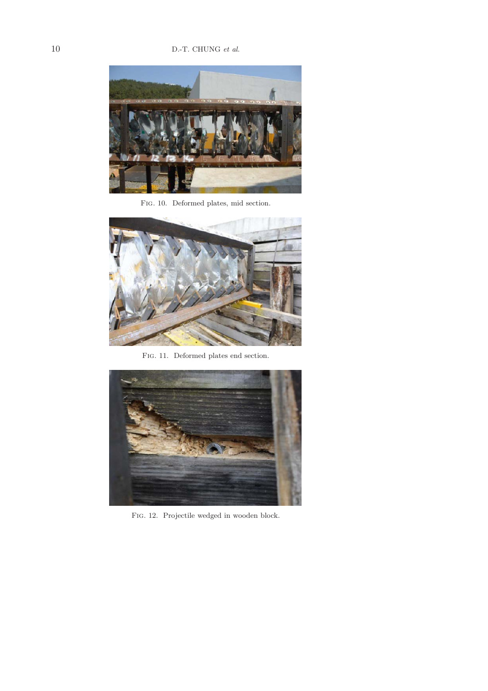

Fig. 10. Deformed plates, mid section.



Fig. 11. Deformed plates end section.



Fig. 12. Projectile wedged in wooden block.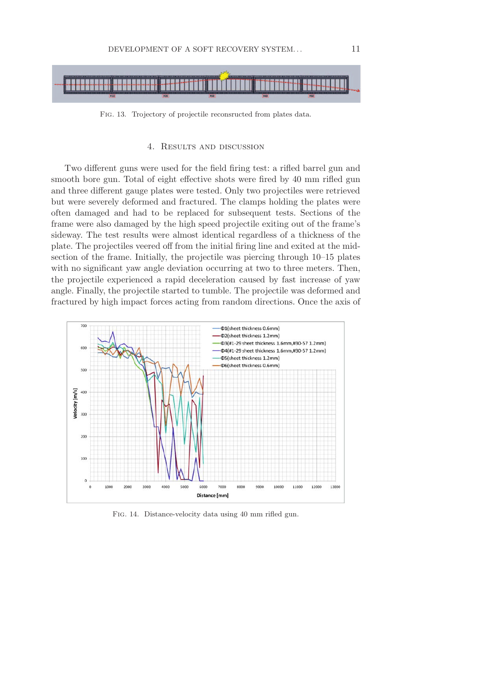

Fig. 13. Trojectory of projectile reconsructed from plates data.

## 4. Results and discussion

Two different guns were used for the field firing test: a rifled barrel gun and smooth bore gun. Total of eight effective shots were fired by 40 mm rifled gun and three different gauge plates were tested. Only two projectiles were retrieved but were severely deformed and fractured. The clamps holding the plates were often damaged and had to be replaced for subsequent tests. Sections of the frame were also damaged by the high speed projectile exiting out of the frame's sideway. The test results were almost identical regardless of a thickness of the plate. The projectiles veered off from the initial firing line and exited at the midsection of the frame. Initially, the projectile was piercing through 10–15 plates with no significant yaw angle deviation occurring at two to three meters. Then, the projectile experienced a rapid deceleration caused by fast increase of yaw angle. Finally, the projectile started to tumble. The projectile was deformed and fractured by high impact forces acting from random directions. Once the axis of



Fig. 14. Distance-velocity data using 40 mm rifled gun.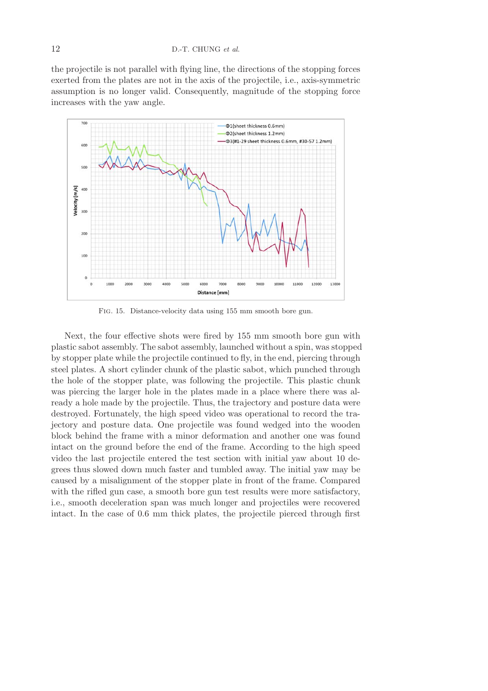the projectile is not parallel with flying line, the directions of the stopping forces exerted from the plates are not in the axis of the projectile, i.e., axis-symmetric assumption is no longer valid. Consequently, magnitude of the stopping force increases with the yaw angle.



Fig. 15. Distance-velocity data using 155 mm smooth bore gun.

Next, the four effective shots were fired by 155 mm smooth bore gun with plastic sabot assembly. The sabot assembly, launched without a spin, was stopped by stopper plate while the projectile continued to fly, in the end, piercing through steel plates. A short cylinder chunk of the plastic sabot, which punched through the hole of the stopper plate, was following the projectile. This plastic chunk was piercing the larger hole in the plates made in a place where there was already a hole made by the projectile. Thus, the trajectory and posture data were destroyed. Fortunately, the high speed video was operational to record the trajectory and posture data. One projectile was found wedged into the wooden block behind the frame with a minor deformation and another one was found intact on the ground before the end of the frame. According to the high speed video the last projectile entered the test section with initial yaw about 10 degrees thus slowed down much faster and tumbled away. The initial yaw may be caused by a misalignment of the stopper plate in front of the frame. Compared with the rifled gun case, a smooth bore gun test results were more satisfactory, i.e., smooth deceleration span was much longer and projectiles were recovered intact. In the case of 0.6 mm thick plates, the projectile pierced through first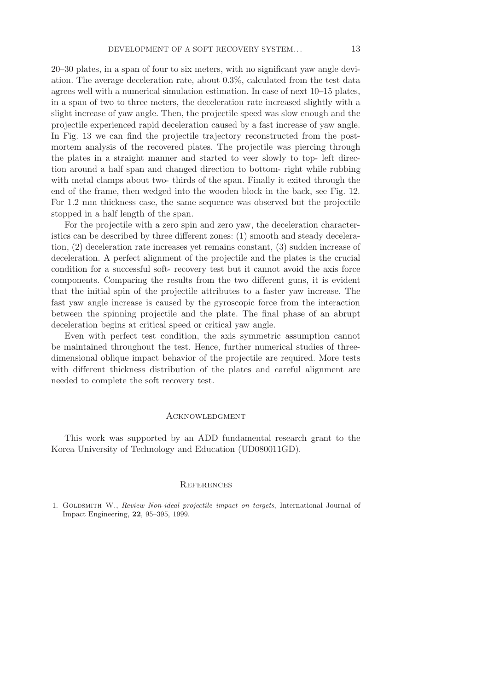20–30 plates, in a span of four to six meters, with no significant yaw angle deviation. The average deceleration rate, about 0.3%, calculated from the test data agrees well with a numerical simulation estimation. In case of next 10–15 plates, in a span of two to three meters, the deceleration rate increased slightly with a slight increase of yaw angle. Then, the projectile speed was slow enough and the projectile experienced rapid deceleration caused by a fast increase of yaw angle. In Fig. 13 we can find the projectile trajectory reconstructed from the postmortem analysis of the recovered plates. The projectile was piercing through the plates in a straight manner and started to veer slowly to top- left direction around a half span and changed direction to bottom- right while rubbing with metal clamps about two- thirds of the span. Finally it exited through the end of the frame, then wedged into the wooden block in the back, see Fig. 12. For 1.2 mm thickness case, the same sequence was observed but the projectile stopped in a half length of the span.

For the projectile with a zero spin and zero yaw, the deceleration characteristics can be described by three different zones: (1) smooth and steady deceleration, (2) deceleration rate increases yet remains constant, (3) sudden increase of deceleration. A perfect alignment of the projectile and the plates is the crucial condition for a successful soft- recovery test but it cannot avoid the axis force components. Comparing the results from the two different guns, it is evident that the initial spin of the projectile attributes to a faster yaw increase. The fast yaw angle increase is caused by the gyroscopic force from the interaction between the spinning projectile and the plate. The final phase of an abrupt deceleration begins at critical speed or critical yaw angle.

Even with perfect test condition, the axis symmetric assumption cannot be maintained throughout the test. Hence, further numerical studies of threedimensional oblique impact behavior of the projectile are required. More tests with different thickness distribution of the plates and careful alignment are needed to complete the soft recovery test.

#### Acknowledgment

This work was supported by an ADD fundamental research grant to the Korea University of Technology and Education (UD080011GD).

#### **REFERENCES**

1. GOLDSMITH W., *Review Non-ideal projectile impact on targets*, International Journal of Impact Engineering, **22**, 95–395, 1999.